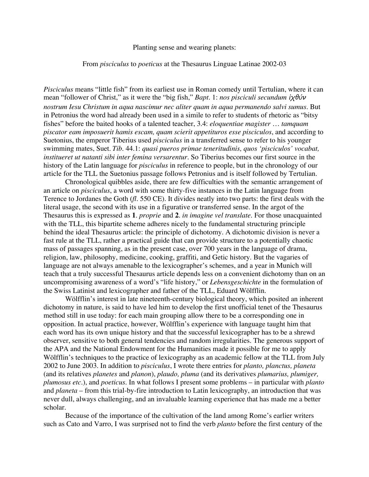Planting sense and wearing planets:

## From *pisciculus* to *poeticus* at the Thesaurus Linguae Latinae 2002-03

*Pisciculus* means "little fish" from its earliest use in Roman comedy until Tertulian, where it can mean "follower of Christ," as it were the "big fish," *Bapt.* 1: *nos pisciculi secundum (χθύν nostrum Iesu Christum in aqua nascimur nec aliter quam in aqua permanendo salvi sumus*. But in Petronius the word had already been used in a simile to refer to students of rhetoric as "bitsy fishes" before the baited hooks of a talented teacher, 3.4: *eloquentiae magister* … *tamquam piscator eam imposuerit hamis escam, quam scierit appetituros esse pisciculos*, and according to Suetonius, the emperor Tiberius used *pisciculus* in a transferred sense to refer to his younger swimming mates, Suet. *Tib*. 44.1: *quasi pueros primae teneritudinis, quos 'pisciculos' vocabat, institueret ut natanti sibi inter femina versarentur.* So Tiberius becomes our first source in the history of the Latin language for *pisciculus* in reference to people, but in the chronology of our article for the TLL the Suetonius passage follows Petronius and is itself followed by Tertulian.

Chronological quibbles aside, there are few difficulties with the semantic arrangement of an article on *pisciculus*, a word with some thirty-five instances in the Latin language from Terence to Jordanes the Goth (*fl.* 550 CE). It divides neatly into two parts: the first deals with the literal usage, the second with its use in a figurative or transferred sense. In the argot of the Thesaurus this is expressed as **1**. *proprie* and **2**. *in imagine vel translate*. For those unacquainted with the TLL, this bipartite scheme adheres nicely to the fundamental structuring principle behind the ideal Thesaurus article: the principle of dichotomy. A dichotomic division is never a fast rule at the TLL, rather a practical guide that can provide structure to a potentially chaotic mass of passages spanning, as in the present case, over 700 years in the language of drama, religion, law, philosophy, medicine, cooking, graffiti, and Getic history. But the vagaries of language are not always amenable to the lexicographer's schemes, and a year in Munich will teach that a truly successful Thesaurus article depends less on a convenient dichotomy than on an uncompromising awareness of a word's "life history," or *Lebensgeschichte* in the formulation of the Swiss Latinist and lexicographer and father of the TLL, Eduard Wölfflin.

Wölfflin's interest in late nineteenth-century biological theory, which posited an inherent dichotomy in nature, is said to have led him to develop the first unofficial tenet of the Thesaurus method still in use today: for each main grouping allow there to be a corresponding one in opposition. In actual practice, however, Wölfflin's experience with language taught him that each word has its own unique history and that the successful lexicographer has to be a shrewd observer, sensitive to both general tendencies and random irregularities. The generous support of the APA and the National Endowment for the Humanities made it possible for me to apply Wölfflin's techniques to the practice of lexicography as an academic fellow at the TLL from July 2002 to June 2003. In addition to *pisciculus*, I wrote there entries for *planto, planctus, planeta*  (and its relatives *planetes* and *planon*), *plaudo, pluma* (and its derivatives *plumarius, plumiger, plumosus etc.*), and *poeticus.* In what follows I present some problems – in particular with *planto* and *planeta* – from this trial-by-fire introduction to Latin lexicography, an introduction that was never dull, always challenging, and an invaluable learning experience that has made me a better scholar.

Because of the importance of the cultivation of the land among Rome's earlier writers such as Cato and Varro, I was surprised not to find the verb *planto* before the first century of the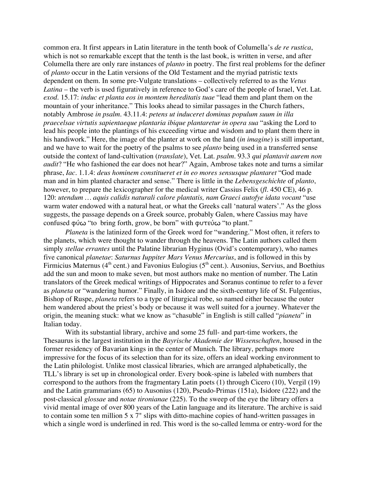common era. It first appears in Latin literature in the tenth book of Columella's *de re rustica*, which is not so remarkable except that the tenth is the last book, is written in verse, and after Columella there are only rare instances of *planto* in poetry. The first real problems for the definer of *planto* occur in the Latin versions of the Old Testament and the myriad patristic texts dependent on them. In some pre-Vulgate translations – collectively referred to as the *Vetus Latina* – the verb is used figuratively in reference to God's care of the people of Israel, Vet. Lat. *exod*. 15.17: *induc et planta eos in montem hereditatis tuae* "lead them and plant them on the mountain of your inheritance." This looks ahead to similar passages in the Church fathers, notably Ambrose *in psalm*. 43.11.4: *petens ut induceret dominus populum suum in illa praecelsae virtutis sapientaeque plantaria ibique plantaretur in opera sua* "asking the Lord to lead his people into the plantings of his exceeding virtue and wisdom and to plant them there in his handiwork." Here, the image of the planter at work on the land (*in imagine*) is still important, and we have to wait for the poetry of the psalms to see *planto* being used in a transferred sense outside the context of land-cultivation (*translate*), Vet. Lat. *psalm*. 93.3 *qui plantavit aurem non audit*? "He who fashioned the ear does not hear?" Again, Ambrose takes note and turns a similar phrase, *Iac*. 1.1.4: *deus hominem constitueret et in eo mores sensusque plantaret* "God made man and in him planted character and sense." There is little in the *Lebensgeschichte* of *planto*, however, to prepare the lexicographer for the medical writer Cassius Felix (*fl.* 450 CE), 46 p. 120: *utendum … aquis calidis naturali calore plantatis, nam Graeci autofye idata vocant* "use warm water endowed with a natural heat, or what the Greeks call 'natural waters'." As the gloss suggests, the passage depends on a Greek source, probably Galen, where Cassius may have confused  $\varphi \circ \omega$  "to bring forth, grow, be born" with  $\varphi \circ \psi$  "to plant."

*Planeta* is the latinized form of the Greek word for "wandering." Most often, it refers to the planets, which were thought to wander through the heavens. The Latin authors called them simply *stellae errantes* until the Palatine librarian Hyginus (Ovid's contemporary), who names five canonical *planetae*: *Saturnus Iuppiter Mars Venus Mercurius*, and is followed in this by Firmicius Maternus ( $4<sup>th</sup>$  cent.) and Favonius Eulogius ( $5<sup>th</sup>$  cent.). Ausonius, Servius, and Boethius add the sun and moon to make seven, but most authors make no mention of number. The Latin translators of the Greek medical writings of Hippocrates and Soranus continue to refer to a fever as *planeta* or "wandering humor." Finally, in Isidore and the sixth-century life of St. Fulgentius, Bishop of Ruspe, *planeta* refers to a type of liturgical robe, so named either because the outer hem wandered about the priest's body or because it was well suited for a journey. Whatever the origin, the meaning stuck: what we know as "chasuble" in English is still called "*pianeta*" in Italian today.

With its substantial library, archive and some 25 full- and part-time workers, the Thesaurus is the largest institution in the *Bayrische Akademie der Wissenschaften*, housed in the former residency of Bavarian kings in the center of Munich. The library, perhaps more impressive for the focus of its selection than for its size, offers an ideal working environment to the Latin philologist. Unlike most classical libraries, which are arranged alphabetically, the TLL's library is set up in chronological order. Every book-spine is labeled with numbers that correspond to the authors from the fragmentary Latin poets (1) through Cicero (10), Vergil (19) and the Latin grammarians (65) to Ausonius (120), Pseudo-Primas (151a), Isidore (222) and the post-classical *glossae* and *notae tironianae* (225). To the sweep of the eye the library offers a vivid mental image of over 800 years of the Latin language and its literature. The archive is said to contain some ten million 5 x 7" slips with ditto-machine copies of hand-written passages in which a single word is underlined in red. This word is the so-called lemma or entry-word for the